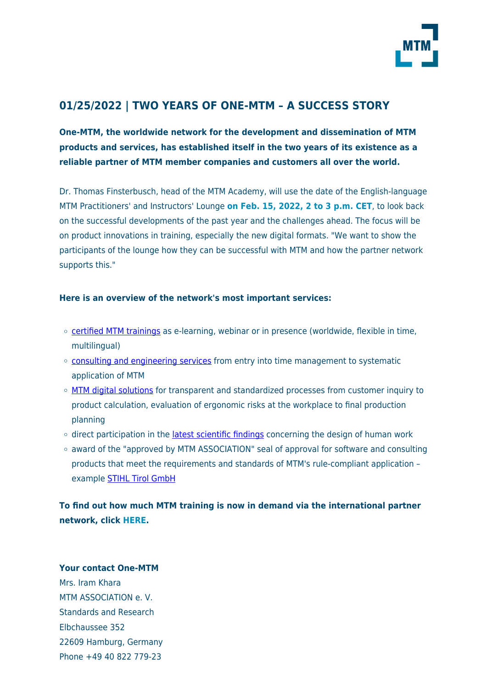

## **01/25/2022 | TWO YEARS OF ONE-MTM – A SUCCESS STORY**

## **One-MTM, the worldwide network for the development and dissemination of MTM products and services, has established itself in the two years of its existence as a reliable partner of MTM member companies and customers all over the world.**

Dr. Thomas Finsterbusch, head of the MTM Academy, will use the date of the English-language MTM Practitioners' and Instructors' Lounge **[on Feb. 15, 2022, 2 to 3 p.m. CET](https://mtm.org/en/events/mtm-and-eaws-instructor-lounge)**, to look back on the successful developments of the past year and the challenges ahead. The focus will be on product innovations in training, especially the new digital formats. "We want to show the participants of the lounge how they can be successful with MTM and how the partner network supports this."

#### **Here is an overview of the network's most important services:**

- o [certified MTM trainings](https://training.mtm.org/?lang=en) as e-learning, webinar or in presence (worldwide, flexible in time, multilingual)
- o [consulting and engineering services](https://mtm.org/en/consulting/implementation-of-mtm-prime) from entry into time management to systematic application of MTM
- [MTM digital solutions](https://mtm.org/en/software/software) for transparent and standardized processes from customer inquiry to product calculation, evaluation of ergonomic risks at the workplace to final production planning
- $\circ$  direct participation in the [latest scientific findings](https://mtm.org/en/research/mtm-institute) concerning the design of human work
- o award of the "approved by MTM ASSOCIATION" seal of approval for software and consulting products that meet the requirements and standards of MTM's rule-compliant application – example [STIHL Tirol GmbH](https://mtm.org/en/news/news-detail/stihl-tirol-gmbh-is-now-approved-by-mtm-association)

**To find out how much MTM training is now in demand via the international partner network, clic[k HERE.](https://mtm.org/en/news/news-detail/more-than-5000-participants-certified-around-the-world)**

#### **Your contact One-MTM**

Mrs. Iram Khara MTM ASSOCIATION e. V. Standards and Research Elbchaussee 352 22609 Hamburg, Germany Phone +49 40 822 779-23